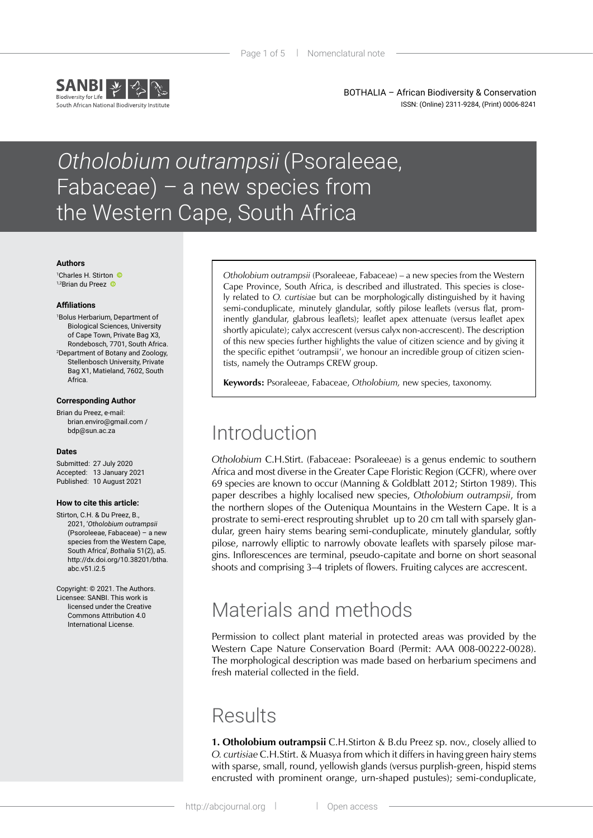

BOTHALIA – African Biodiversity & Conservation ISSN: (Online) 2311-9284, (Print) 0006-8241

# Otholobium outrampsii (Psoraleeae, Fabaceae) – a new species from the Western Cape, South Africa

#### **Authors**

1 Charles H. Stirton 1,2Briandu Preez

#### **Affiliations**

1 Bolus Herbarium, Department of Biological Sciences, University of Cape Town, Private Bag X3, Rondebosch, 7701, South Africa. 2 Department of Botany and Zoology, Stellenbosch University, Private Bag X1, Matieland, 7602, South Africa.

#### **Corresponding Author**

Brian du Preez, e-mail: [brian.enviro@gmail.com](mailto:brian.enviro%40gmail.com?subject=) / [bdp@sun.ac.za](mailto:bdp%40sun.ac.za?subject=)

#### **Dates**

Submitted: 27 July 2020 Accepted: 13 January 2021 Published: 10 August 2021

#### **How to cite this article:**

Stirton, C.H. & Du Preez, B., 2021, '*Otholobium outrampsii* (Psoroleeae, Fabaceae) – a new species from the Western Cape South Africa', *Bothalia* 51(2), a5. [http://dx.doi.org/10.38201/btha.](http://dx.doi.org/10.38201/btha.abc.v51.i2) [abc.v51.i2.](http://dx.doi.org/10.38201/btha.abc.v51.i2)5

Copyright: © 2021. The Authors. Licensee: SANBI. This work is licensed under the Creative Commons Attribution 4.0 International License.

*Otholobium outrampsii* (Psoraleeae, Fabaceae) – a new species from the Western Cape Province, South Africa, is described and illustrated. This species is closely related to *O. curtisiae* but can be morphologically distinguished by it having semi-conduplicate, minutely glandular, softly pilose leaflets (versus flat, prominently glandular, glabrous leaflets); leaflet apex attenuate (versus leaflet apex shortly apiculate); calyx accrescent (versus calyx non-accrescent). The description of this new species further highlights the value of citizen science and by giving it the specific epithet 'outrampsii', we honour an incredible group of citizen scientists, namely the Outramps CREW group.

**Keywords:** Psoraleeae, Fabaceae, *Otholobium,* new species, taxonomy.

## Introduction

*Otholobium* C.H.Stirt. (Fabaceae: Psoraleeae) is a genus endemic to southern Africa and most diverse in the Greater Cape Floristic Region (GCFR), where over 69 species are known to occur (Manning & Goldblatt 2012; Stirton 1989). This paper describes a highly localised new species, *Otholobium outrampsii*, from the northern slopes of the Outeniqua Mountains in the Western Cape. It is a prostrate to semi-erect resprouting shrublet up to 20 cm tall with sparsely glandular, green hairy stems bearing semi-conduplicate, minutely glandular, softly pilose, narrowly elliptic to narrowly obovate leaflets with sparsely pilose margins. Inflorescences are terminal, pseudo-capitate and borne on short seasonal shoots and comprising 3–4 triplets of flowers. Fruiting calyces are accrescent.

## Materials and methods

Permission to collect plant material in protected areas was provided by the Western Cape Nature Conservation Board (Permit: AAA 008-00222-0028). The morphological description was made based on herbarium specimens and fresh material collected in the field.

## **Results**

**1. Otholobium outrampsii** C.H.Stirton & B.du Preez sp. nov., closely allied to *O. curtisiae* C.H.Stirt. & Muasya from which it differs in having green hairy stems with sparse, small, round, yellowish glands (versus purplish-green, hispid stems encrusted with prominent orange, urn-shaped pustules); semi-conduplicate,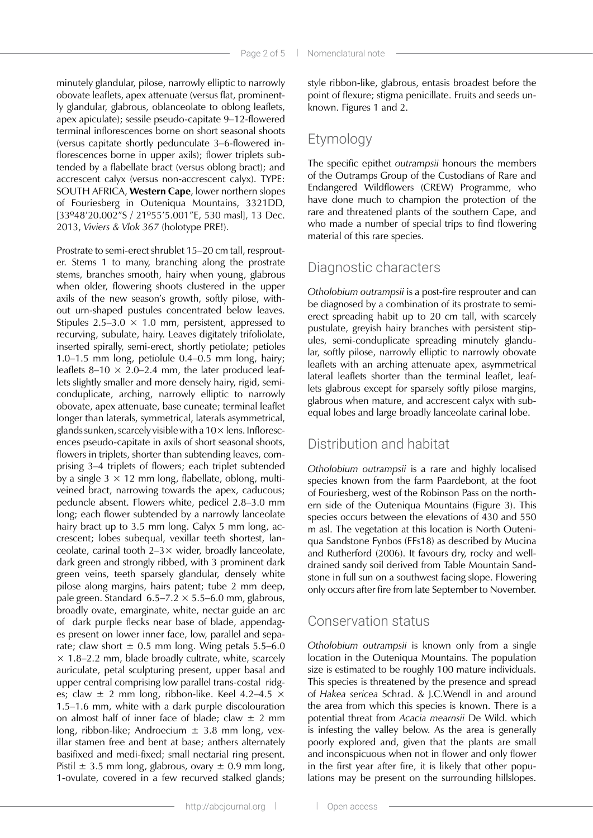minutely glandular, pilose, narrowly elliptic to narrowly obovate leaflets, apex attenuate (versus flat, prominently glandular, glabrous, oblanceolate to oblong leaflets, apex apiculate); sessile pseudo-capitate 9–12-flowered terminal inflorescences borne on short seasonal shoots (versus capitate shortly pedunculate 3–6-flowered inflorescences borne in upper axils); flower triplets subtended by a flabellate bract (versus oblong bract); and accrescent calyx (versus non-accrescent calyx). TYPE: SOUTH AFRICA, **Western Cape**, lower northern slopes of Fouriesberg in Outeniqua Mountains, 3321DD, [33º48'20.002"S / 21º55'5.001"E, 530 masl], 13 Dec. 2013, *Viviers & Vlok 367* (holotype PRE!).

Prostrate to semi-erect shrublet 15–20 cm tall, resprouter. Stems 1 to many, branching along the prostrate stems, branches smooth, hairy when young, glabrous when older, flowering shoots clustered in the upper axils of the new season's growth, softly pilose, without urn-shaped pustules concentrated below leaves. Stipules 2.5–3.0  $\times$  1.0 mm, persistent, appressed to recurving, subulate, hairy. Leaves digitately trifoliolate, inserted spirally, semi-erect, shortly petiolate; petioles 1.0–1.5 mm long, petiolule 0.4–0.5 mm long, hairy; leaflets 8–10  $\times$  2.0–2.4 mm, the later produced leaflets slightly smaller and more densely hairy, rigid, semiconduplicate, arching, narrowly elliptic to narrowly obovate, apex attenuate, base cuneate; terminal leaflet longer than laterals, symmetrical, laterals asymmetrical, glands sunken, scarcely visible with a  $10\times$  lens. Inflorescences pseudo-capitate in axils of short seasonal shoots, flowers in triplets, shorter than subtending leaves, comprising 3–4 triplets of flowers; each triplet subtended by a single  $3 \times 12$  mm long, flabellate, oblong, multiveined bract, narrowing towards the apex, caducous; peduncle absent. Flowers white, pedicel 2.8–3.0 mm long; each flower subtended by a narrowly lanceolate hairy bract up to 3.5 mm long. Calyx 5 mm long, accrescent; lobes subequal, vexillar teeth shortest, lanceolate, carinal tooth  $2-3 \times$  wider, broadly lanceolate, dark green and strongly ribbed, with 3 prominent dark green veins, teeth sparsely glandular, densely white pilose along margins, hairs patent; tube 2 mm deep, pale green. Standard  $6.5-7.2 \times 5.5-6.0$  mm, glabrous, broadly ovate, emarginate, white, nectar guide an arc of dark purple flecks near base of blade, appendages present on lower inner face, low, parallel and separate; claw short  $\pm$  0.5 mm long. Wing petals 5.5–6.0  $\times$  1.8–2.2 mm, blade broadly cultrate, white, scarcely auriculate, petal sculpturing present, upper basal and upper central comprising low parallel trans-costal ridges; claw  $\pm$  2 mm long, ribbon-like. Keel 4.2–4.5  $\times$ 1.5–1.6 mm, white with a dark purple discolouration on almost half of inner face of blade; claw  $\pm$  2 mm long, ribbon-like; Androecium  $\pm$  3.8 mm long, vexillar stamen free and bent at base; anthers alternately basifixed and medi-fixed; small nectarial ring present. Pistil  $\pm$  3.5 mm long, glabrous, ovary  $\pm$  0.9 mm long, 1-ovulate, covered in a few recurved stalked glands;

style ribbon-like, glabrous, entasis broadest before the point of flexure; stigma penicillate. Fruits and seeds unknown. Figures 1 and 2.

### Etymology

The specific epithet *outrampsii* honours the members of the Outramps Group of the Custodians of Rare and Endangered Wildflowers (CREW) Programme, who have done much to champion the protection of the rare and threatened plants of the southern Cape, and who made a number of special trips to find flowering material of this rare species.

### Diagnostic characters

*Otholobium outrampsii* is a post-fire resprouter and can be diagnosed by a combination of its prostrate to semierect spreading habit up to 20 cm tall, with scarcely pustulate, greyish hairy branches with persistent stipules, semi-conduplicate spreading minutely glandular, softly pilose, narrowly elliptic to narrowly obovate leaflets with an arching attenuate apex, asymmetrical lateral leaflets shorter than the terminal leaflet, leaflets glabrous except for sparsely softly pilose margins, glabrous when mature, and accrescent calyx with subequal lobes and large broadly lanceolate carinal lobe.

### Distribution and habitat

*Otholobium outrampsii* is a rare and highly localised species known from the farm Paardebont, at the foot of Fouriesberg, west of the Robinson Pass on the northern side of the Outeniqua Mountains (Figure 3). This species occurs between the elevations of 430 and 550 m asl. The vegetation at this location is North Outeniqua Sandstone Fynbos (FFs18) as described by Mucina and Rutherford (2006). It favours dry, rocky and welldrained sandy soil derived from Table Mountain Sandstone in full sun on a southwest facing slope. Flowering only occurs after fire from late September to November.

### Conservation status

*Otholobium outrampsii* is known only from a single location in the Outeniqua Mountains. The population size is estimated to be roughly 100 mature individuals. This species is threatened by the presence and spread of *Hakea sericea* Schrad. & J.C.Wendl in and around the area from which this species is known. There is a potential threat from *Acacia mearnsii* De Wild. which is infesting the valley below. As the area is generally poorly explored and, given that the plants are small and inconspicuous when not in flower and only flower in the first year after fire, it is likely that other populations may be present on the surrounding hillslopes.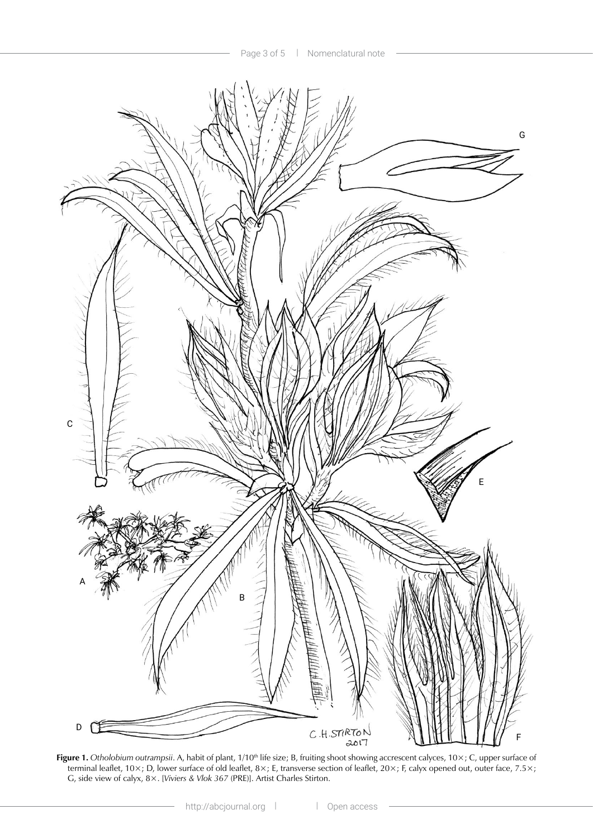

Figure 1. Otholobium outrampsii. A, habit of plant, 1/10<sup>th</sup> life size; B, fruiting shoot showing accrescent calyces, 10×; C, upper surface of terminal leaflet, 10×; D, lower surface of old leaflet, 8×; E, transverse section of leaflet, 20×; F, calyx opened out, outer face, 7.5×; G, side view of calyx, 8×. [*Viviers & Vlok 367* (PRE)]. Artist Charles Stirton.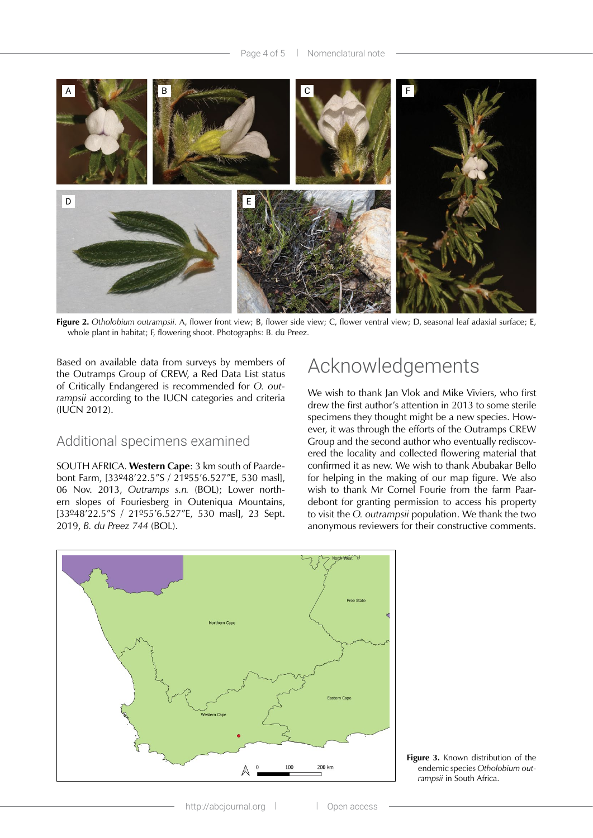

**Figure 2.** *Otholobium outrampsii.* A, flower front view; B, flower side view; C, flower ventral view; D, seasonal leaf adaxial surface; E, whole plant in habitat; F, flowering shoot. Photographs: B. du Preez.

Based on available data from surveys by members of the Outramps Group of CREW, a Red Data List status of Critically Endangered is recommended for *O. outrampsii* according to the IUCN categories and criteria (IUCN 2012).

### Additional specimens examined

SOUTH AFRICA. **Western Cape**: 3 km south of Paardebont Farm, [33º48'22.5"S / 21º55'6.527"E, 530 masl], 06 Nov. 2013, *Outramps s.n.* (BOL); Lower northern slopes of Fouriesberg in Outeniqua Mountains, [33º48'22.5"S / 21º55'6.527"E, 530 masl], 23 Sept. 2019, *B. du Preez 744* (BOL).

## Acknowledgements

We wish to thank Jan Vlok and Mike Viviers, who first drew the first author's attention in 2013 to some sterile specimens they thought might be a new species. However, it was through the efforts of the Outramps CREW Group and the second author who eventually rediscovered the locality and collected flowering material that confirmed it as new. We wish to thank Abubakar Bello for helping in the making of our map figure. We also wish to thank Mr Cornel Fourie from the farm Paardebont for granting permission to access his property to visit the *O. outrampsii* population. We thank the two anonymous reviewers for their constructive comments.



**Figure 3.** Known distribution of the endemic species *Otholobium outrampsii* in South Africa.